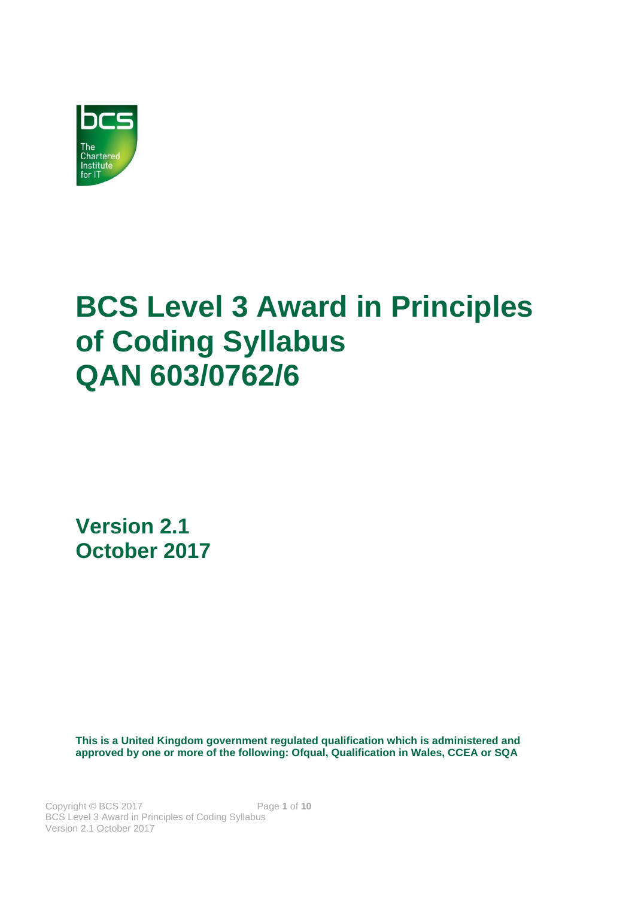

# **BCS Level 3 Award in Principles of Coding Syllabus QAN 603/0762/6**

**Version 2.1 October 2017**

**This is a United Kingdom government regulated qualification which is administered and approved by one or more of the following: Ofqual, Qualification in Wales, CCEA or SQA**

Copyright © BCS 2017 Page **1** of **10** BCS Level 3 Award in Principles of Coding Syllabus Version 2.1 October 2017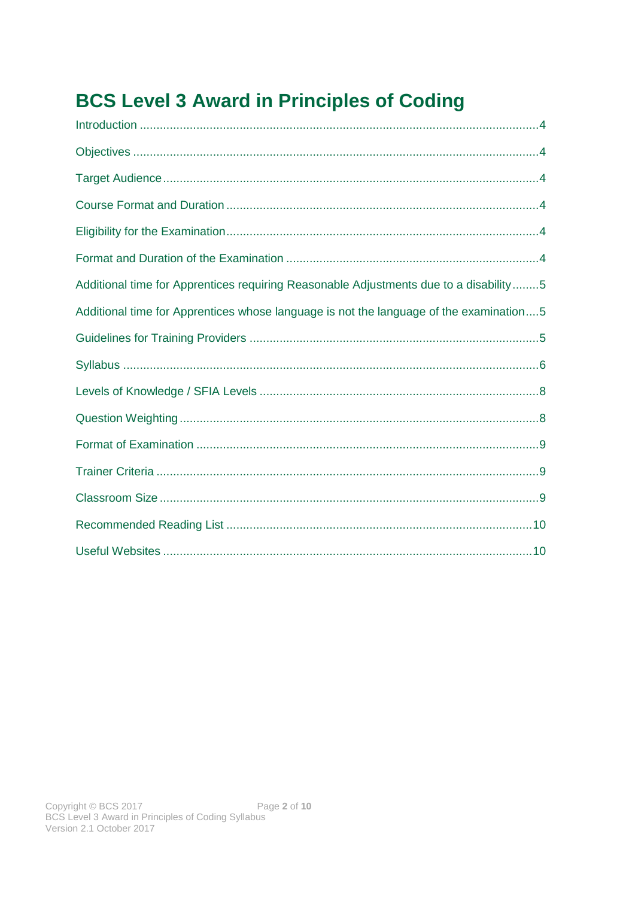# **BCS Level 3 Award in Principles of Coding**

| Additional time for Apprentices requiring Reasonable Adjustments due to a disability5  |
|----------------------------------------------------------------------------------------|
| Additional time for Apprentices whose language is not the language of the examination5 |
|                                                                                        |
|                                                                                        |
|                                                                                        |
|                                                                                        |
|                                                                                        |
|                                                                                        |
|                                                                                        |
|                                                                                        |
|                                                                                        |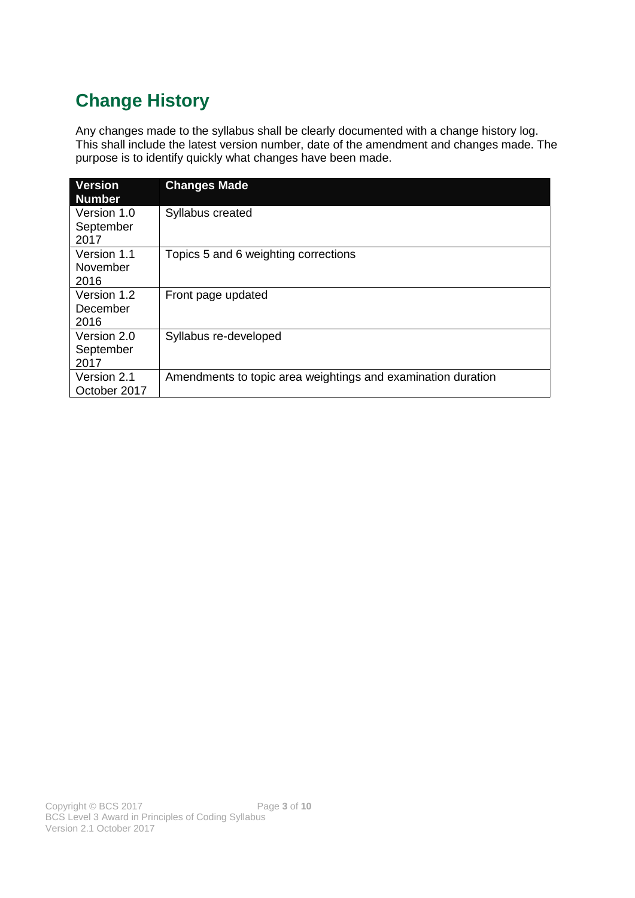# **Change History**

Any changes made to the syllabus shall be clearly documented with a change history log. This shall include the latest version number, date of the amendment and changes made. The purpose is to identify quickly what changes have been made.

| <b>Version</b><br><b>Number</b>  | <b>Changes Made</b>                                          |
|----------------------------------|--------------------------------------------------------------|
| Version 1.0<br>September<br>2017 | Syllabus created                                             |
| Version 1.1<br>November<br>2016  | Topics 5 and 6 weighting corrections                         |
| Version 1.2<br>December<br>2016  | Front page updated                                           |
| Version 2.0<br>September<br>2017 | Syllabus re-developed                                        |
| Version 2.1<br>October 2017      | Amendments to topic area weightings and examination duration |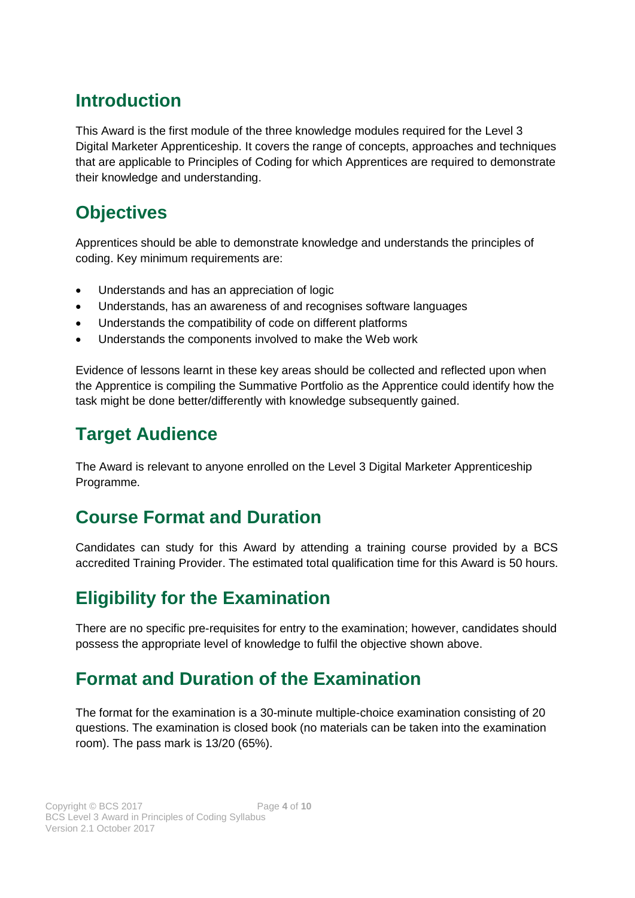### <span id="page-3-0"></span>**Introduction**

This Award is the first module of the three knowledge modules required for the Level 3 Digital Marketer Apprenticeship. It covers the range of concepts, approaches and techniques that are applicable to Principles of Coding for which Apprentices are required to demonstrate their knowledge and understanding.

# <span id="page-3-1"></span>**Objectives**

Apprentices should be able to demonstrate knowledge and understands the principles of coding. Key minimum requirements are:

- Understands and has an appreciation of logic
- Understands, has an awareness of and recognises software languages
- Understands the compatibility of code on different platforms
- Understands the components involved to make the Web work

Evidence of lessons learnt in these key areas should be collected and reflected upon when the Apprentice is compiling the Summative Portfolio as the Apprentice could identify how the task might be done better/differently with knowledge subsequently gained.

### <span id="page-3-2"></span>**Target Audience**

The Award is relevant to anyone enrolled on the Level 3 Digital Marketer Apprenticeship Programme.

# <span id="page-3-3"></span>**Course Format and Duration**

Candidates can study for this Award by attending a training course provided by a BCS accredited Training Provider. The estimated total qualification time for this Award is 50 hours.

# <span id="page-3-4"></span>**Eligibility for the Examination**

There are no specific pre-requisites for entry to the examination; however, candidates should possess the appropriate level of knowledge to fulfil the objective shown above.

### <span id="page-3-5"></span>**Format and Duration of the Examination**

The format for the examination is a 30-minute multiple-choice examination consisting of 20 questions. The examination is closed book (no materials can be taken into the examination room). The pass mark is 13/20 (65%).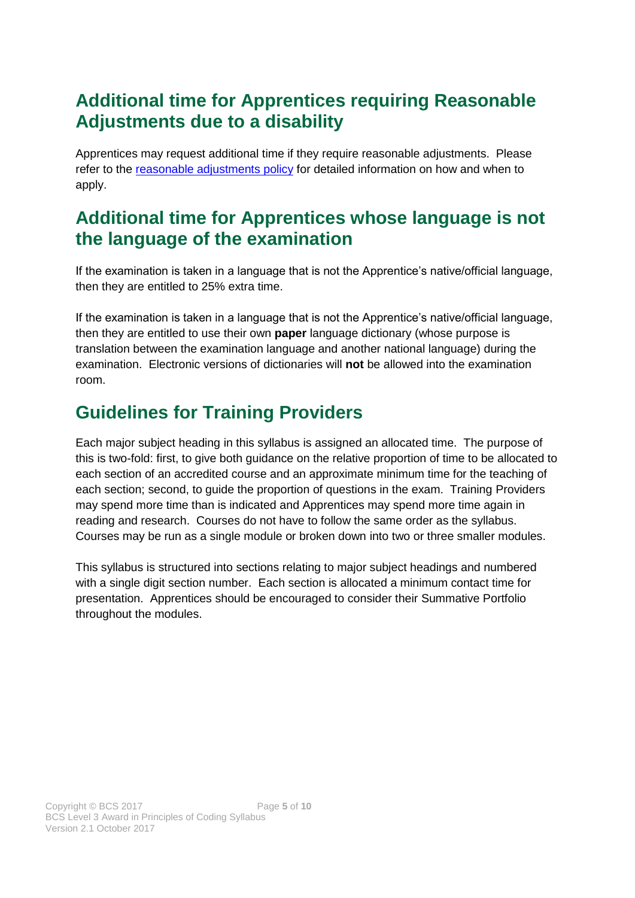# <span id="page-4-0"></span>**Additional time for Apprentices requiring Reasonable Adjustments due to a disability**

Apprentices may request additional time if they require reasonable adjustments. Please refer to the reasonable adjustments policy for detailed information on how and when to apply.

### <span id="page-4-1"></span>**Additional time for Apprentices whose language is not the language of the examination**

If the examination is taken in a language that is not the Apprentice's native/official language, then they are entitled to 25% extra time.

If the examination is taken in a language that is not the Apprentice's native/official language, then they are entitled to use their own **paper** language dictionary (whose purpose is translation between the examination language and another national language) during the examination. Electronic versions of dictionaries will **not** be allowed into the examination room.

# <span id="page-4-2"></span>**Guidelines for Training Providers**

Each major subject heading in this syllabus is assigned an allocated time. The purpose of this is two-fold: first, to give both guidance on the relative proportion of time to be allocated to each section of an accredited course and an approximate minimum time for the teaching of each section; second, to guide the proportion of questions in the exam. Training Providers may spend more time than is indicated and Apprentices may spend more time again in reading and research. Courses do not have to follow the same order as the syllabus. Courses may be run as a single module or broken down into two or three smaller modules.

This syllabus is structured into sections relating to major subject headings and numbered with a single digit section number. Each section is allocated a minimum contact time for presentation. Apprentices should be encouraged to consider their Summative Portfolio throughout the modules.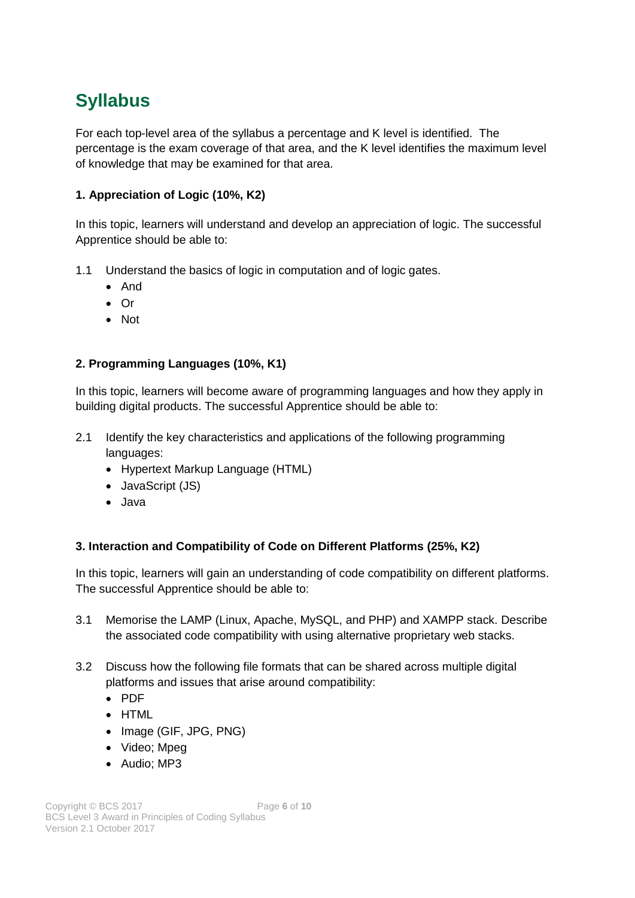# <span id="page-5-0"></span>**Syllabus**

For each top-level area of the syllabus a percentage and K level is identified. The percentage is the exam coverage of that area, and the K level identifies the maximum level of knowledge that may be examined for that area.

#### **1. Appreciation of Logic (10%, K2)**

In this topic, learners will understand and develop an appreciation of logic. The successful Apprentice should be able to:

- 1.1 Understand the basics of logic in computation and of logic gates.
	- And
	- Or
	- Not

#### **2. Programming Languages (10%, K1)**

In this topic, learners will become aware of programming languages and how they apply in building digital products. The successful Apprentice should be able to:

- 2.1 Identify the key characteristics and applications of the following programming languages:
	- Hypertext Markup Language (HTML)
	- JavaScript (JS)
	- Java

#### **3. Interaction and Compatibility of Code on Different Platforms (25%, K2)**

In this topic, learners will gain an understanding of code compatibility on different platforms. The successful Apprentice should be able to:

- 3.1 Memorise the LAMP (Linux, Apache, MySQL, and PHP) and XAMPP stack. Describe the associated code compatibility with using alternative proprietary web stacks.
- 3.2 Discuss how the following file formats that can be shared across multiple digital platforms and issues that arise around compatibility:
	- PDF
	- HTML
	- Image (GIF, JPG, PNG)
	- Video; Mpeg
	- Audio; MP3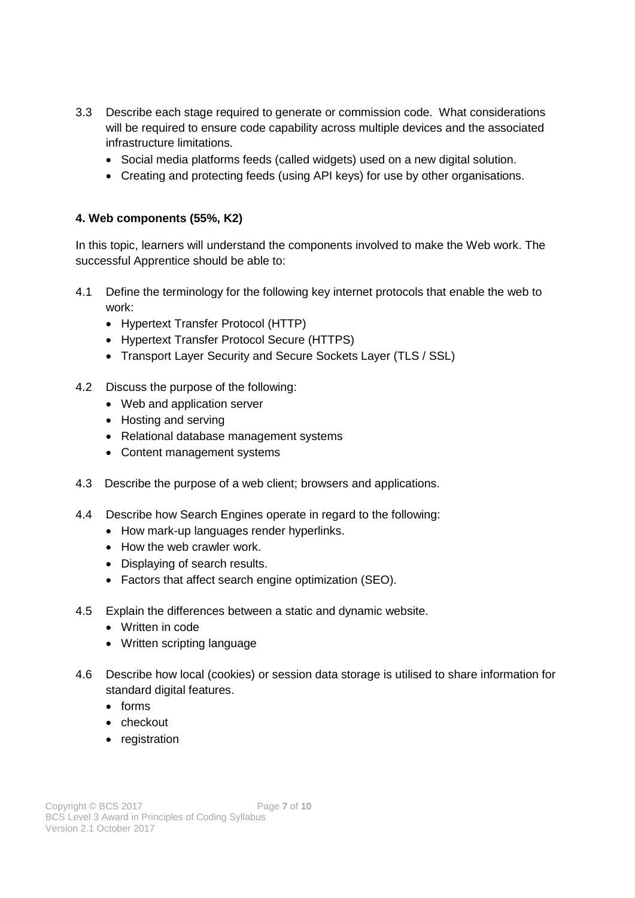- 3.3 Describe each stage required to generate or commission code. What considerations will be required to ensure code capability across multiple devices and the associated infrastructure limitations.
	- Social media platforms feeds (called widgets) used on a new digital solution.
	- Creating and protecting feeds (using API keys) for use by other organisations.

#### **4. Web components (55%, K2)**

In this topic, learners will understand the components involved to make the Web work. The successful Apprentice should be able to:

- 4.1 Define the terminology for the following key internet protocols that enable the web to work:
	- Hypertext Transfer Protocol (HTTP)
	- Hypertext Transfer Protocol Secure (HTTPS)
	- Transport Layer Security and Secure Sockets Layer (TLS / SSL)
- 4.2 Discuss the purpose of the following:
	- Web and application server
	- Hosting and serving
	- Relational database management systems
	- Content management systems
- 4.3 Describe the purpose of a web client; browsers and applications.
- 4.4 Describe how Search Engines operate in regard to the following:
	- How mark-up languages render hyperlinks.
	- How the web crawler work.
	- Displaying of search results.
	- Factors that affect search engine optimization (SEO).
- 4.5 Explain the differences between a static and dynamic website.
	- Written in code
	- Written scripting language
- 4.6 Describe how local (cookies) or session data storage is utilised to share information for standard digital features.
	- forms
	- checkout
	- registration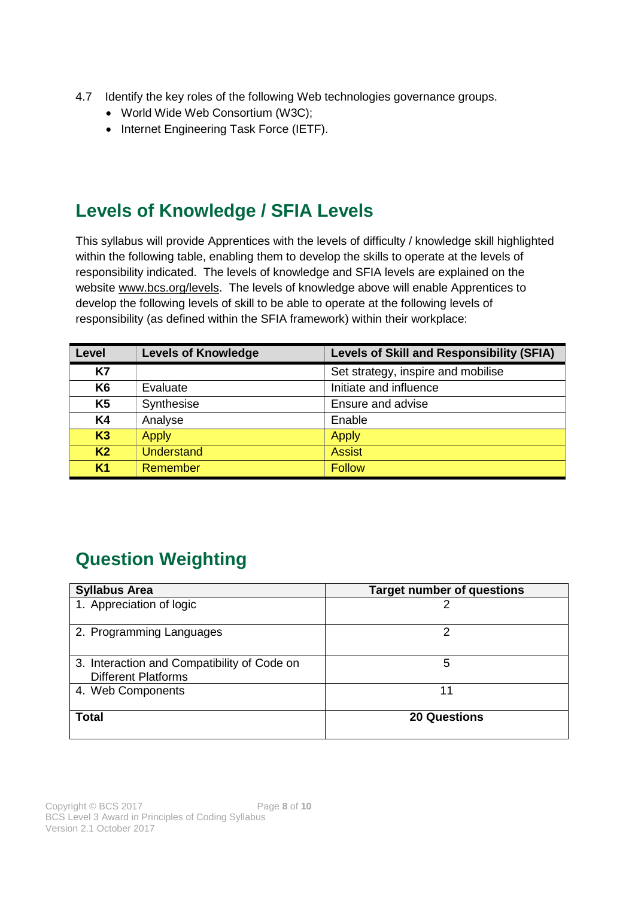- 4.7 Identify the key roles of the following Web technologies governance groups.
	- World Wide Web Consortium (W3C);
	- Internet Engineering Task Force (IETF).

### <span id="page-7-0"></span>**Levels of Knowledge / SFIA Levels**

This syllabus will provide Apprentices with the levels of difficulty / knowledge skill highlighted within the following table, enabling them to develop the skills to operate at the levels of responsibility indicated. The levels of knowledge and SFIA levels are explained on the website [www.bcs.org/levels.](http://www.bcs.org/levels) The levels of knowledge above will enable Apprentices to develop the following levels of skill to be able to operate at the following levels of responsibility (as defined within the SFIA framework) within their workplace:

| Level          | <b>Levels of Knowledge</b> | <b>Levels of Skill and Responsibility (SFIA)</b> |
|----------------|----------------------------|--------------------------------------------------|
| <b>K7</b>      |                            | Set strategy, inspire and mobilise               |
| K <sub>6</sub> | Evaluate                   | Initiate and influence                           |
| <b>K5</b>      | Synthesise                 | Ensure and advise                                |
| <b>K4</b>      | Analyse                    | Enable                                           |
| K3             | <b>Apply</b>               | <b>Apply</b>                                     |
| K <sub>2</sub> | <b>Understand</b>          | <b>Assist</b>                                    |
| K <sub>1</sub> | Remember                   | <b>Follow</b>                                    |

# <span id="page-7-1"></span>**Question Weighting**

| <b>Syllabus Area</b>                                                      | <b>Target number of questions</b> |
|---------------------------------------------------------------------------|-----------------------------------|
| 1. Appreciation of logic                                                  |                                   |
| 2. Programming Languages                                                  | າ                                 |
| 3. Interaction and Compatibility of Code on<br><b>Different Platforms</b> | 5                                 |
| 4. Web Components                                                         | 11                                |
| <b>Total</b>                                                              | <b>20 Questions</b>               |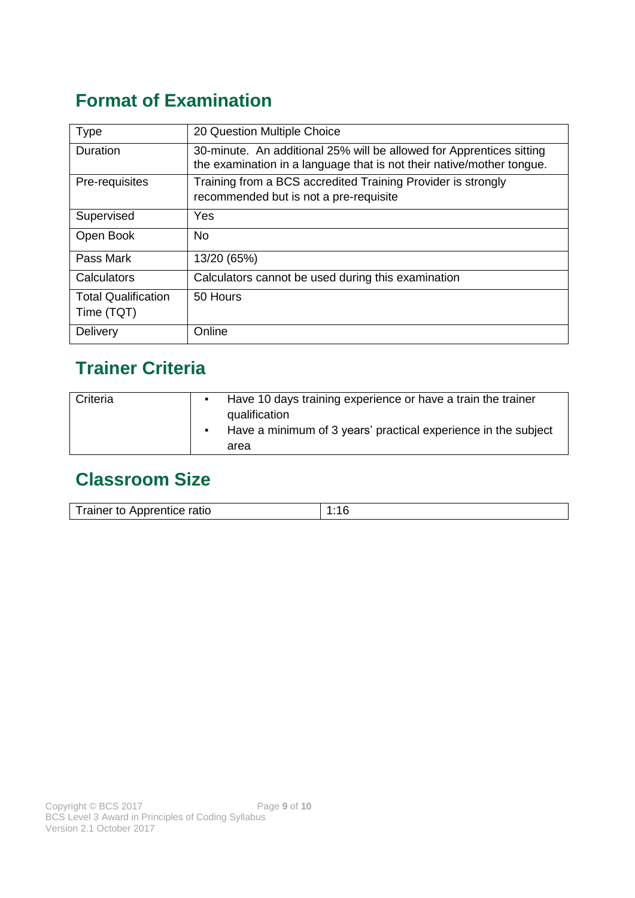# <span id="page-8-0"></span>**Format of Examination**

| <b>Type</b>                              | 20 Question Multiple Choice                                                                                                                   |
|------------------------------------------|-----------------------------------------------------------------------------------------------------------------------------------------------|
| <b>Duration</b>                          | 30-minute. An additional 25% will be allowed for Apprentices sitting<br>the examination in a language that is not their native/mother tongue. |
| Pre-requisites                           | Training from a BCS accredited Training Provider is strongly<br>recommended but is not a pre-requisite                                        |
| Supervised                               | Yes                                                                                                                                           |
| Open Book                                | No.                                                                                                                                           |
| Pass Mark                                | 13/20 (65%)                                                                                                                                   |
| Calculators                              | Calculators cannot be used during this examination                                                                                            |
| <b>Total Qualification</b><br>Time (TQT) | 50 Hours                                                                                                                                      |
| Delivery                                 | Online                                                                                                                                        |

# <span id="page-8-1"></span>**Trainer Criteria**

| Criteria | Have 10 days training experience or have a train the trainer<br>qualification<br>Have a minimum of 3 years' practical experience in the subject<br>area |
|----------|---------------------------------------------------------------------------------------------------------------------------------------------------------|
|----------|---------------------------------------------------------------------------------------------------------------------------------------------------------|

# <span id="page-8-2"></span>**Classroom Size**

| Trainer to Apprentice ratio |  |
|-----------------------------|--|